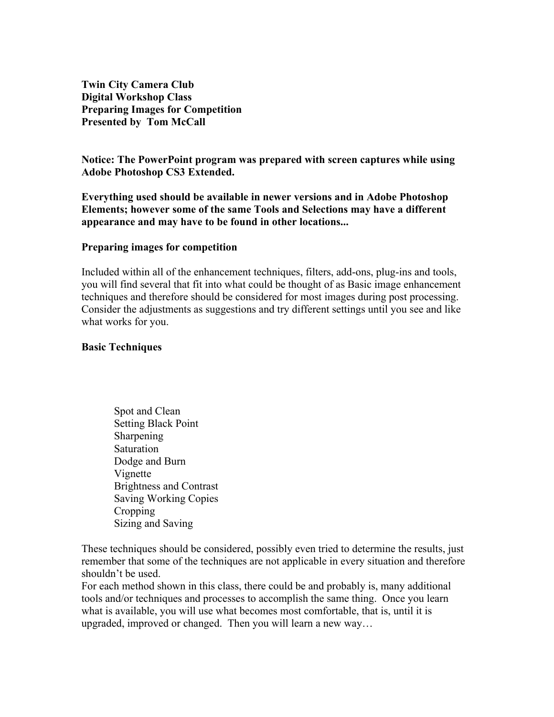**Twin City Camera Club Digital Workshop Class Preparing Images for Competition Presented by Tom McCall**

**Notice: The PowerPoint program was prepared with screen captures while using Adobe Photoshop CS3 Extended.** 

**Everything used should be available in newer versions and in Adobe Photoshop Elements; however some of the same Tools and Selections may have a different appearance and may have to be found in other locations...**

#### **Preparing images for competition**

Included within all of the enhancement techniques, filters, add-ons, plug-ins and tools, you will find several that fit into what could be thought of as Basic image enhancement techniques and therefore should be considered for most images during post processing. Consider the adjustments as suggestions and try different settings until you see and like what works for you.

#### **Basic Techniques**

Spot and Clean Setting Black Point Sharpening Saturation Dodge and Burn Vignette Brightness and Contrast Saving Working Copies **Cropping** Sizing and Saving

These techniques should be considered, possibly even tried to determine the results, just remember that some of the techniques are not applicable in every situation and therefore shouldn't be used.

For each method shown in this class, there could be and probably is, many additional tools and/or techniques and processes to accomplish the same thing. Once you learn what is available, you will use what becomes most comfortable, that is, until it is upgraded, improved or changed. Then you will learn a new way…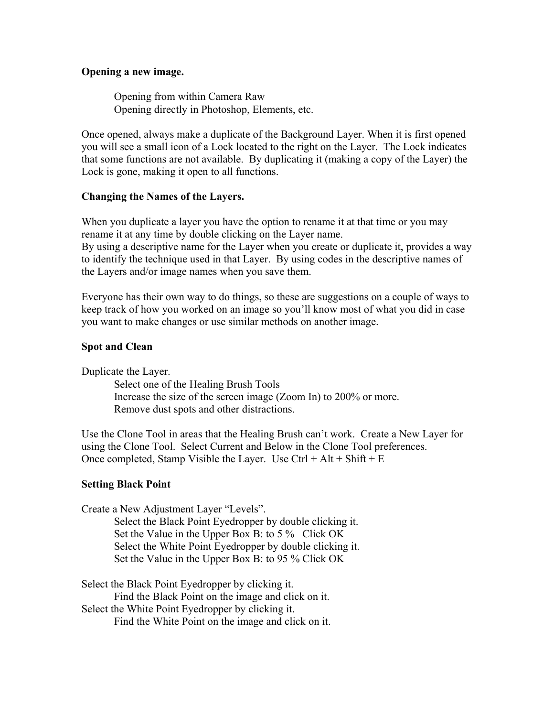### **Opening a new image.**

Opening from within Camera Raw Opening directly in Photoshop, Elements, etc.

Once opened, always make a duplicate of the Background Layer. When it is first opened you will see a small icon of a Lock located to the right on the Layer. The Lock indicates that some functions are not available. By duplicating it (making a copy of the Layer) the Lock is gone, making it open to all functions.

### **Changing the Names of the Layers.**

When you duplicate a layer you have the option to rename it at that time or you may rename it at any time by double clicking on the Layer name.

By using a descriptive name for the Layer when you create or duplicate it, provides a way to identify the technique used in that Layer. By using codes in the descriptive names of the Layers and/or image names when you save them.

Everyone has their own way to do things, so these are suggestions on a couple of ways to keep track of how you worked on an image so you'll know most of what you did in case you want to make changes or use similar methods on another image.

#### **Spot and Clean**

Duplicate the Layer.

Select one of the Healing Brush Tools Increase the size of the screen image (Zoom In) to 200% or more. Remove dust spots and other distractions.

Use the Clone Tool in areas that the Healing Brush can't work. Create a New Layer for using the Clone Tool. Select Current and Below in the Clone Tool preferences. Once completed, Stamp Visible the Layer. Use  $Ctrl + Alt + Shift + E$ 

#### **Setting Black Point**

Create a New Adjustment Layer "Levels". Select the Black Point Eyedropper by double clicking it. Set the Value in the Upper Box B: to 5 % Click OK Select the White Point Eyedropper by double clicking it. Set the Value in the Upper Box B: to 95 % Click OK

Select the Black Point Eyedropper by clicking it. Find the Black Point on the image and click on it. Select the White Point Eyedropper by clicking it. Find the White Point on the image and click on it.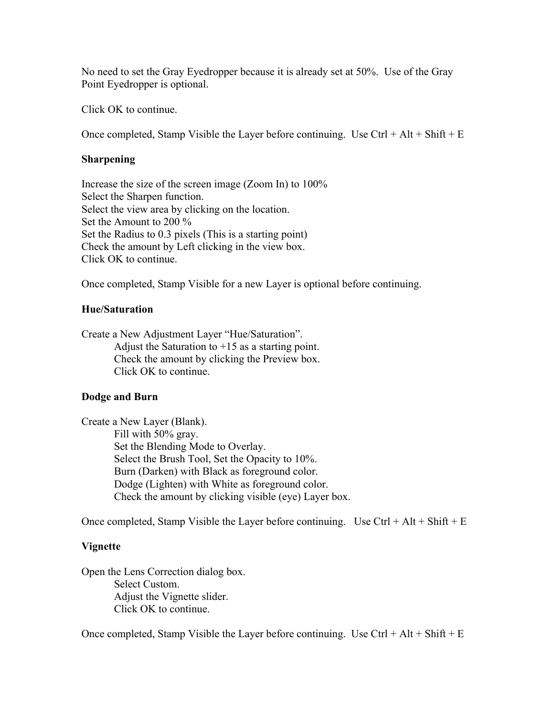No need to set the Gray Eyedropper because it is already set at 50%. Use of the Gray Point Eyedropper is optional.

Click OK to continue.

Once completed, Stamp Visible the Layer before continuing. Use  $Ctrl + Alt + Shift + E$ 

## **Sharpening**

Increase the size of the screen image (Zoom In) to 100% Select the Sharpen function. Select the view area by clicking on the location. Set the Amount to 200 % Set the Radius to 0.3 pixels (This is a starting point) Check the amount by Left clicking in the view box. Click OK to continue.

Once completed, Stamp Visible for a new Layer is optional before continuing.

## **Hue/Saturation**

Create a New Adjustment Layer "Hue/Saturation". Adjust the Saturation to  $+15$  as a starting point. Check the amount by clicking the Preview box. Click OK to continue.

### **Dodge and Burn**

Create a New Layer (Blank). Fill with 50% gray. Set the Blending Mode to Overlay. Select the Brush Tool, Set the Opacity to 10%. Burn (Darken) with Black as foreground color. Dodge (Lighten) with White as foreground color. Check the amount by clicking visible (eye) Layer box.

Once completed, Stamp Visible the Layer before continuing. Use Ctrl + Alt + Shift + E

### **Vignette**

Open the Lens Correction dialog box. Select Custom. Adjust the Vignette slider. Click OK to continue.

Once completed, Stamp Visible the Layer before continuing. Use Ctrl + Alt + Shift + E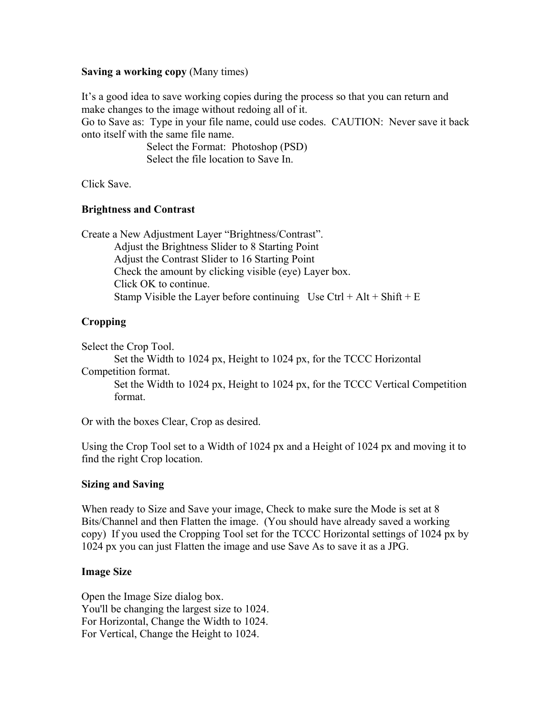## **Saving a working copy** (Many times)

It's a good idea to save working copies during the process so that you can return and make changes to the image without redoing all of it.

Go to Save as: Type in your file name, could use codes. CAUTION: Never save it back onto itself with the same file name.

> Select the Format: Photoshop (PSD) Select the file location to Save In.

Click Save.

## **Brightness and Contrast**

Create a New Adjustment Layer "Brightness/Contrast". Adjust the Brightness Slider to 8 Starting Point Adjust the Contrast Slider to 16 Starting Point Check the amount by clicking visible (eye) Layer box. Click OK to continue. Stamp Visible the Layer before continuing Use  $Ctrl + Alt + Shift + E$ 

# **Cropping**

Select the Crop Tool.

Set the Width to 1024 px, Height to 1024 px, for the TCCC Horizontal Competition format.

Set the Width to 1024 px, Height to 1024 px, for the TCCC Vertical Competition format.

Or with the boxes Clear, Crop as desired.

Using the Crop Tool set to a Width of 1024 px and a Height of 1024 px and moving it to find the right Crop location.

### **Sizing and Saving**

When ready to Size and Save your image, Check to make sure the Mode is set at 8 Bits/Channel and then Flatten the image. (You should have already saved a working copy) If you used the Cropping Tool set for the TCCC Horizontal settings of 1024 px by 1024 px you can just Flatten the image and use Save As to save it as a JPG.

### **Image Size**

Open the Image Size dialog box. You'll be changing the largest size to 1024. For Horizontal, Change the Width to 1024. For Vertical, Change the Height to 1024.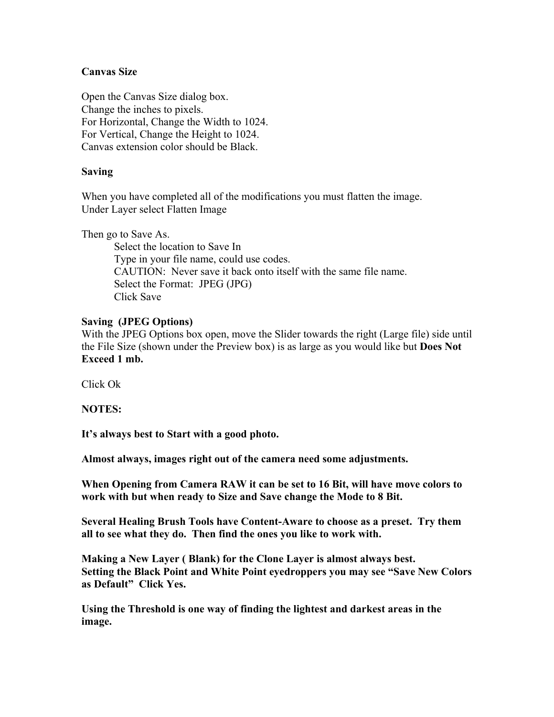## **Canvas Size**

Open the Canvas Size dialog box. Change the inches to pixels. For Horizontal, Change the Width to 1024. For Vertical, Change the Height to 1024. Canvas extension color should be Black.

## **Saving**

When you have completed all of the modifications you must flatten the image. Under Layer select Flatten Image

Then go to Save As.

Select the location to Save In Type in your file name, could use codes. CAUTION: Never save it back onto itself with the same file name. Select the Format: JPEG (JPG) Click Save

### **Saving (JPEG Options)**

With the JPEG Options box open, move the Slider towards the right (Large file) side until the File Size (shown under the Preview box) is as large as you would like but **Does Not Exceed 1 mb.**

Click Ok

**NOTES:**

**It's always best to Start with a good photo.**

**Almost always, images right out of the camera need some adjustments.** 

**When Opening from Camera RAW it can be set to 16 Bit, will have move colors to work with but when ready to Size and Save change the Mode to 8 Bit.**

**Several Healing Brush Tools have Content-Aware to choose as a preset. Try them all to see what they do. Then find the ones you like to work with.**

**Making a New Layer ( Blank) for the Clone Layer is almost always best. Setting the Black Point and White Point eyedroppers you may see "Save New Colors as Default" Click Yes.**

**Using the Threshold is one way of finding the lightest and darkest areas in the image.**